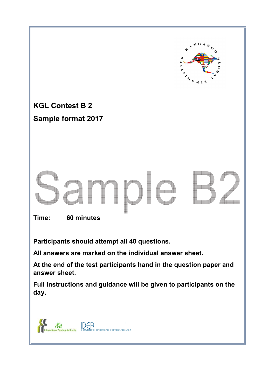

**All answers are marked on the individual answer sheet.** 

**At the end of the test participants hand in the question paper and answer sheet.** 

**Full instructions and guidance will be given to participants on the day.** 

DEA ita **NT OF EDUCATIONAL ASSESSMEN**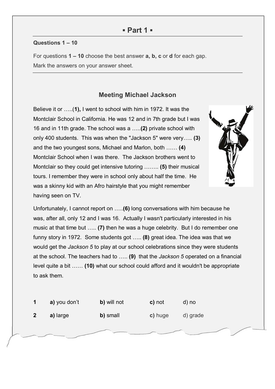### **Questions 1 – 10**

Ĩ

For questions **1 – 10** choose the best answer **a, b, c** or **d** for each gap. Mark the answers on your answer sheet.

## **Meeting Michael Jackson**

Believe it or …..(**1),** I went to school with him in 1972. It was the Montclair School in California. He was 12 and in 7th grade but I was 16 and in 11th grade. The school was a …..**(2)** private school with only 400 students. This was when the "Jackson 5" were very….. **(3)** and the two youngest sons, Michael and Marlon, both …… **(4)** Montclair School when I was there. The Jackson brothers went to Montclair so they could get intensive tutoring …….. **(5)** their musical tours. I remember they were in school only about half the time. He was a skinny kid with an Afro hairstyle that you might remember having seen on TV.



Unfortunately, I cannot report on …..**(6)** long conversations with him because he was, after all, only 12 and I was 16. Actually I wasn't particularly interested in his music at that time but ….. **(7)** then he was a huge celebrity. But I do remember one funny story in 1972. Some students got ….. **(8)** great idea. The idea was that we would get the *Jackson 5* to play at our school celebrations since they were students at the school. The teachers had to ….. **(9)** that the *Jackson 5* operated on a financial level quite a bit …… **(10)** what our school could afford and it wouldn't be appropriate to ask them.

| a) you don't | b) will not | c) not  | d) no    |
|--------------|-------------|---------|----------|
| a) large     | b) small    | c) huge | d) grade |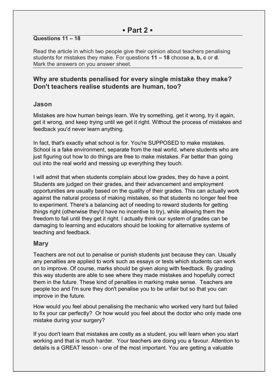### **Questions 11 – 18**

Read the article in which two people give their opinion about teachers penalising students for mistakes they make. For questions **11 – 18** choose **a, b, c** or **d**. Mark the answers on you answer sheet.

### **Why are students penalised for every single mistake they make? Don't teachers realise students are human, too?**

### **Jason**

Mistakes are how human beings learn. We try something, get it wrong, try it again, get it wrong, and keep trying until we get it right. Without the process of mistakes and feedback you'd never learn anything.

In fact, that's exactly what school is for. You're SUPPOSED to make mistakes. School is a fake environment, separate from the real world, where students who are just figuring out how to do things are free to make mistakes. Far better than going out into the real world and messing up everything they touch.

I will admit that when students complain about low grades, they do have a point. Students are judged on their grades, and their advancement and employment opportunities are usually based on the quality of their grades. This can actually work against the natural process of making mistakes, so that students no longer feel free to experiment. There's a balancing act of needing to reward students for getting things right (otherwise they'd have no incentive to try), while allowing them the freedom to fail until they get it right. I actually think our system of grades can be damaging to learning and educators should be looking for alternative systems of teaching and feedback.

## **Mary**

Teachers are not out to penalise or punish students just because they can. Usually any penalties are applied to work such as essays or tests which students can work on to improve. Of course, marks should be given along with feedback. By grading this way students are able to see where they made mistakes and hopefully correct them in the future. These kind of penalties in marking make sense. Teachers are people too and I'm sure they don't penalise you to be unfair but so that you can improve in the future.

How would you feel about penalising the mechanic who worked very hard but failed to fix your car perfectly? Or how would you feel about the doctor who only made one mistake during your surgery?

If you don't learn that mistakes are costly as a student, you will learn when you start working and that is much harder. Your teachers are doing you a favour. Attention to details is a GREAT lesson - one of the most important. You are getting a valuable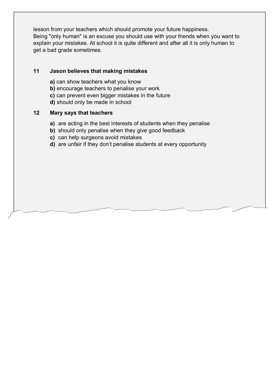lesson from your teachers which should promote your future happiness. Being "only human" is an excuse you should use with your friends when you want to explain your mistakes. At school it is quite different and after all it is only human to get a bad grade sometimes.

### **11 Jason believes that making mistakes**

- **a)** can show teachers what you know
- **b)** encourage teachers to penalise your work
- **c)** can prevent even bigger mistakes in the future
- **d)** should only be made in school

### **12 Mary says that teachers**

- **a)** are acting in the best interests of students when they penalise
- **b)** should only penalise when they give good feedback
- **c)** can help surgeons avoid mistakes
- **d)** are unfair if they don't penalise students at every opportunity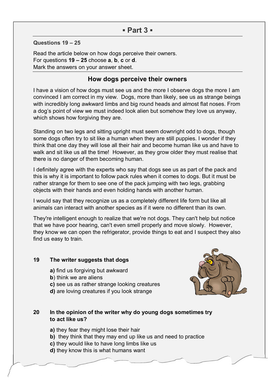## **▪ Part 3 ▪**

**Questions 19 – 25** 

Read the article below on how dogs perceive their owners. For questions **19 – 25** choose **a**, **b**, **c** or **d**. Mark the answers on your answer sheet.

### **How dogs perceive their owners**

I have a vision of how dogs must see us and the more I observe dogs the more I am convinced I am correct in my view. Dogs, more than likely, see us as strange beings with incredibly long awkward limbs and big round heads and almost flat noses. From a dog's point of view we must indeed look alien but somehow they love us anyway, which shows how forgiving they are.

Standing on two legs and sitting upright must seem downright odd to dogs, though some dogs often try to sit like a human when they are still puppies. I wonder if they think that one day they will lose all their hair and become human like us and have to walk and sit like us all the time! However, as they grow older they must realise that there is no danger of them becoming human.

I definitely agree with the experts who say that dogs see us as part of the pack and this is why it is important to follow pack rules when it comes to dogs. But it must be rather strange for them to see one of the pack jumping with two legs, grabbing objects with their hands and even holding hands with another human.

I would say that they recognize us as a completely different life form but like all animals can interact with another species as if it were no different than its own.

They're intelligent enough to realize that we're not dogs. They can't help but notice that we have poor hearing, can't even smell properly and move slowly. However, they know we can open the refrigerator, provide things to eat and I suspect they also find us easy to train.

#### **19 The writer suggests that dogs**

- **a)** find us forgiving but awkward
- **b**) think we are aliens
- **c)** see us as rather strange looking creatures
- **d)** are loving creatures if you look strange



### **20 In the opinion of the writer why do young dogs sometimes try to act like us?**

- **a)** they fear they might lose their hair
- **b)** they think that they may end up like us and need to practice
- **c)** they would like to have long limbs like us
- **d)** they know this is what humans want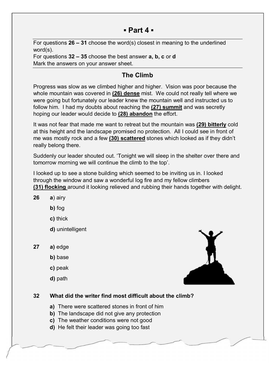## **▪ Part 4 ▪**

For questions **26 – 31** choose the word(s) closest in meaning to the underlined word(s).

For questions **32 – 35** choose the best answer **a, b, c** or **d** Mark the answers on your answer sheet.

# **The Climb**

Progress was slow as we climbed higher and higher. Vision was poor because the whole mountain was covered in **(26) dense** mist. We could not really tell where we were going but fortunately our leader knew the mountain well and instructed us to follow him. I had my doubts about reaching the **(27) summit** and was secretly hoping our leader would decide to **(28) abandon** the effort.

It was not fear that made me want to retreat but the mountain was **(29) bitterly** cold at this height and the landscape promised no protection. All I could see in front of me was mostly rock and a few **(30) scattered** stones which looked as if they didn't really belong there.

Suddenly our leader shouted out. 'Tonight we will sleep in the shelter over there and tomorrow morning we will continue the climb to the top'.

I looked up to see a stone building which seemed to be inviting us in. I looked through the window and saw a wonderful log fire and my fellow climbers **(31) flocking** around it looking relieved and rubbing their hands together with delight.

- **26 a**) airy
	- **b)** fog
	- **c)** thick
	- **d)** unintelligent
- **27 a)** edge
	- **b**) base
	- **c)** peak
	- **d)** path



## **32 What did the writer find most difficult about the climb?**

- **a)** There were scattered stones in front of him
- **b)** The landscape did not give any protection
- **c)** The weather conditions were not good
- **d)** He felt their leader was going too fast